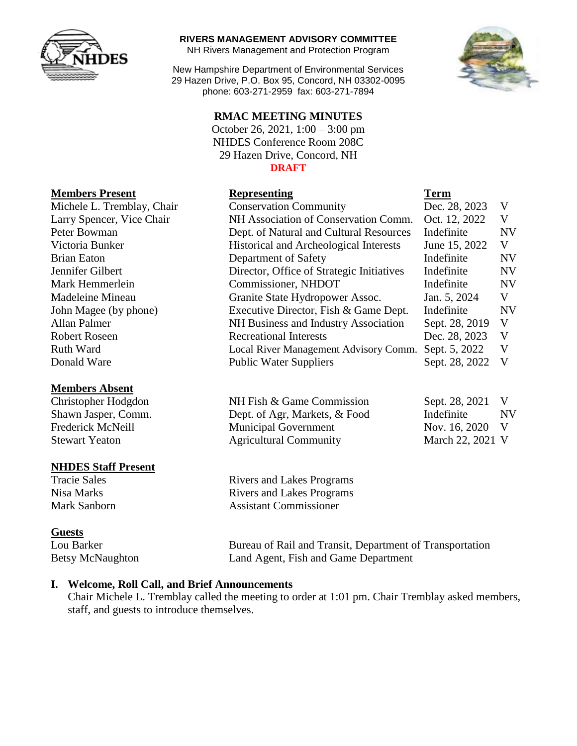

#### **RIVERS MANAGEMENT ADVISORY COMMITTEE**

NH Rivers Management and Protection Program

New Hampshire Department of Environmental Services 29 Hazen Drive, P.O. Box 95, Concord, NH 03302-0095 phone: 603-271-2959 fax: 603-271-7894

## **RMAC MEETING MINUTES**

October 26, 2021, 1:00 – 3:00 pm NHDES Conference Room 208C 29 Hazen Drive, Concord, NH **DRAFT**



| <b>Members Present</b>     | <b>Representing</b>                       | <b>Term</b>    |           |
|----------------------------|-------------------------------------------|----------------|-----------|
| Michele L. Tremblay, Chair | <b>Conservation Community</b>             | Dec. 28, 2023  | V         |
| Larry Spencer, Vice Chair  | NH Association of Conservation Comm.      | Oct. 12, 2022  | V         |
| Peter Bowman               | Dept. of Natural and Cultural Resources   | Indefinite     | <b>NV</b> |
| Victoria Bunker            | Historical and Archeological Interests    | June 15, 2022  | V         |
| <b>Brian Eaton</b>         | Department of Safety                      | Indefinite     | <b>NV</b> |
| Jennifer Gilbert           | Director, Office of Strategic Initiatives | Indefinite     | <b>NV</b> |
| Mark Hemmerlein            | Commissioner, NHDOT                       | Indefinite     | <b>NV</b> |
| Madeleine Mineau           | Granite State Hydropower Assoc.           | Jan. 5, 2024   | V         |
| John Magee (by phone)      | Executive Director, Fish & Game Dept.     | Indefinite     | <b>NV</b> |
| Allan Palmer               | NH Business and Industry Association      | Sept. 28, 2019 | V         |
| <b>Robert Roseen</b>       | <b>Recreational Interests</b>             | Dec. 28, 2023  | V         |
| Ruth Ward                  | Local River Management Advisory Comm.     | Sept. 5, 2022  | V         |
| Donald Ware                | <b>Public Water Suppliers</b>             | Sept. 28, 2022 | V         |

#### **Members Absent**

Christopher Hodgdon NH Fish & Game Commission Sept. 28, 2021 V Shawn Jasper, Comm. Dept. of Agr, Markets, & Food Indefinite NV

### **NHDES Staff Present**

#### **Guests**

Frederick McNeill Municipal Government Nov. 16, 2020 V Stewart Yeaton Agricultural Community March 22, 2021 V

Tracie Sales Rivers and Lakes Programs Nisa Marks **Rivers** and Lakes Programs Mark Sanborn Assistant Commissioner

Lou Barker Bureau of Rail and Transit, Department of Transportation Betsy McNaughton Land Agent, Fish and Game Department

### **I. Welcome, Roll Call, and Brief Announcements**

Chair Michele L. Tremblay called the meeting to order at 1:01 pm. Chair Tremblay asked members, staff, and guests to introduce themselves.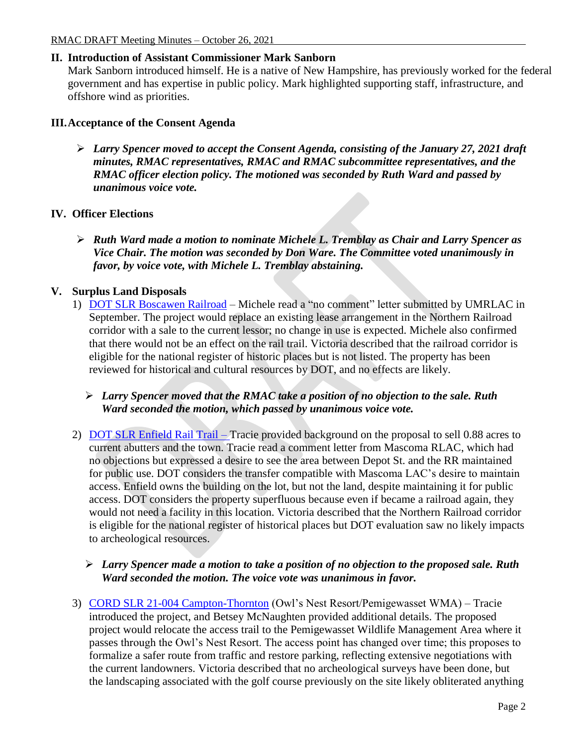# **II. Introduction of Assistant Commissioner Mark Sanborn**

Mark Sanborn introduced himself. He is a native of New Hampshire, has previously worked for the federal government and has expertise in public policy. Mark highlighted supporting staff, infrastructure, and offshore wind as priorities.

## **III.Acceptance of the Consent Agenda**

 *Larry Spencer moved to accept the Consent Agenda, consisting of the January 27, 2021 draft minutes, RMAC representatives, RMAC and RMAC subcommittee representatives, and the RMAC officer election policy. The motioned was seconded by Ruth Ward and passed by unanimous voice vote.*

## **IV. Officer Elections**

 *Ruth Ward made a motion to nominate Michele L. Tremblay as Chair and Larry Spencer as Vice Chair. The motion was seconded by Don Ware. The Committee voted unanimously in favor, by voice vote, with Michele L. Tremblay abstaining.*

## **V. Surplus Land Disposals**

1) [DOT SLR Boscawen Railroad](https://www4.des.state.nh.us/blogs/rmac/wp-content/uploads/DOT-SLR-Boscawen-Railroad.pdf) – Michele read a "no comment" letter submitted by UMRLAC in September. The project would replace an existing lease arrangement in the Northern Railroad corridor with a sale to the current lessor; no change in use is expected. Michele also confirmed that there would not be an effect on the rail trail. Victoria described that the railroad corridor is eligible for the national register of historic places but is not listed. The property has been reviewed for historical and cultural resources by DOT, and no effects are likely.

## *Larry Spencer moved that the RMAC take a position of no objection to the sale. Ruth Ward seconded the motion, which passed by unanimous voice vote.*

2) [DOT SLR Enfield Rail Trail](https://www4.des.state.nh.us/blogs/rmac/wp-content/uploads/20210727-RMAC-Memo-signed.pdf) – Tracie provided background on the proposal to sell 0.88 acres to current abutters and the town. Tracie read a comment letter from Mascoma RLAC, which had no objections but expressed a desire to see the area between Depot St. and the RR maintained for public use. DOT considers the transfer compatible with Mascoma LAC's desire to maintain access. Enfield owns the building on the lot, but not the land, despite maintaining it for public access. DOT considers the property superfluous because even if became a railroad again, they would not need a facility in this location. Victoria described that the Northern Railroad corridor is eligible for the national register of historical places but DOT evaluation saw no likely impacts to archeological resources.

## *Larry Spencer made a motion to take a position of no objection to the proposed sale. Ruth Ward seconded the motion. The voice vote was unanimous in favor.*

3) [CORD SLR 21-004 Campton-Thornton](https://www4.des.state.nh.us/blogs/rmac/wp-content/uploads/2021-SLR-004-Campton-Thornton.pdf) (Owl's Nest Resort/Pemigewasset WMA) – Tracie introduced the project, and Betsey McNaughten provided additional details. The proposed project would relocate the access trail to the Pemigewasset Wildlife Management Area where it passes through the Owl's Nest Resort. The access point has changed over time; this proposes to formalize a safer route from traffic and restore parking, reflecting extensive negotiations with the current landowners. Victoria described that no archeological surveys have been done, but the landscaping associated with the golf course previously on the site likely obliterated anything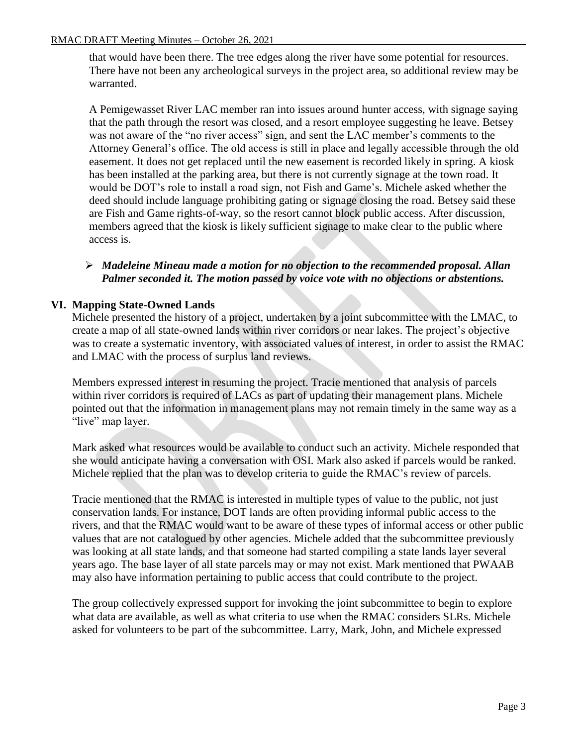that would have been there. The tree edges along the river have some potential for resources. There have not been any archeological surveys in the project area, so additional review may be warranted.

A Pemigewasset River LAC member ran into issues around hunter access, with signage saying that the path through the resort was closed, and a resort employee suggesting he leave. Betsey was not aware of the "no river access" sign, and sent the LAC member's comments to the Attorney General's office. The old access is still in place and legally accessible through the old easement. It does not get replaced until the new easement is recorded likely in spring. A kiosk has been installed at the parking area, but there is not currently signage at the town road. It would be DOT's role to install a road sign, not Fish and Game's. Michele asked whether the deed should include language prohibiting gating or signage closing the road. Betsey said these are Fish and Game rights-of-way, so the resort cannot block public access. After discussion, members agreed that the kiosk is likely sufficient signage to make clear to the public where access is.

## *Madeleine Mineau made a motion for no objection to the recommended proposal. Allan Palmer seconded it. The motion passed by voice vote with no objections or abstentions.*

## **VI. Mapping State-Owned Lands**

Michele presented the history of a project, undertaken by a joint subcommittee with the LMAC, to create a map of all state-owned lands within river corridors or near lakes. The project's objective was to create a systematic inventory, with associated values of interest, in order to assist the RMAC and LMAC with the process of surplus land reviews.

Members expressed interest in resuming the project. Tracie mentioned that analysis of parcels within river corridors is required of LACs as part of updating their management plans. Michele pointed out that the information in management plans may not remain timely in the same way as a "live" map layer.

Mark asked what resources would be available to conduct such an activity. Michele responded that she would anticipate having a conversation with OSI. Mark also asked if parcels would be ranked. Michele replied that the plan was to develop criteria to guide the RMAC's review of parcels.

Tracie mentioned that the RMAC is interested in multiple types of value to the public, not just conservation lands. For instance, DOT lands are often providing informal public access to the rivers, and that the RMAC would want to be aware of these types of informal access or other public values that are not catalogued by other agencies. Michele added that the subcommittee previously was looking at all state lands, and that someone had started compiling a state lands layer several years ago. The base layer of all state parcels may or may not exist. Mark mentioned that PWAAB may also have information pertaining to public access that could contribute to the project.

The group collectively expressed support for invoking the joint subcommittee to begin to explore what data are available, as well as what criteria to use when the RMAC considers SLRs. Michele asked for volunteers to be part of the subcommittee. Larry, Mark, John, and Michele expressed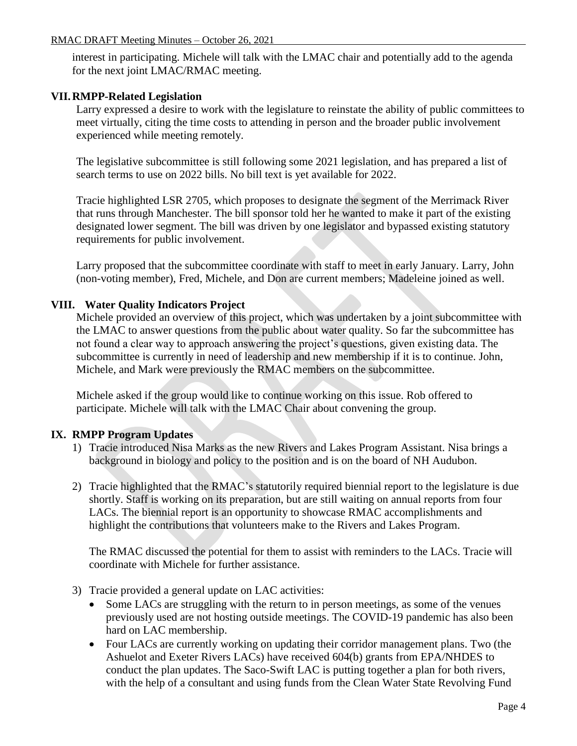interest in participating. Michele will talk with the LMAC chair and potentially add to the agenda for the next joint LMAC/RMAC meeting.

## **VII.RMPP-Related Legislation**

Larry expressed a desire to work with the legislature to reinstate the ability of public committees to meet virtually, citing the time costs to attending in person and the broader public involvement experienced while meeting remotely.

The legislative subcommittee is still following some 2021 legislation, and has prepared a list of search terms to use on 2022 bills. No bill text is yet available for 2022.

Tracie highlighted LSR 2705, which proposes to designate the segment of the Merrimack River that runs through Manchester. The bill sponsor told her he wanted to make it part of the existing designated lower segment. The bill was driven by one legislator and bypassed existing statutory requirements for public involvement.

Larry proposed that the subcommittee coordinate with staff to meet in early January. Larry, John (non-voting member), Fred, Michele, and Don are current members; Madeleine joined as well.

## **VIII. Water Quality Indicators Project**

Michele provided an overview of this project, which was undertaken by a joint subcommittee with the LMAC to answer questions from the public about water quality. So far the subcommittee has not found a clear way to approach answering the project's questions, given existing data. The subcommittee is currently in need of leadership and new membership if it is to continue. John, Michele, and Mark were previously the RMAC members on the subcommittee.

Michele asked if the group would like to continue working on this issue. Rob offered to participate. Michele will talk with the LMAC Chair about convening the group.

### **IX. RMPP Program Updates**

- 1) Tracie introduced Nisa Marks as the new Rivers and Lakes Program Assistant. Nisa brings a background in biology and policy to the position and is on the board of NH Audubon.
- 2) Tracie highlighted that the RMAC's statutorily required biennial report to the legislature is due shortly. Staff is working on its preparation, but are still waiting on annual reports from four LACs. The biennial report is an opportunity to showcase RMAC accomplishments and highlight the contributions that volunteers make to the Rivers and Lakes Program.

The RMAC discussed the potential for them to assist with reminders to the LACs. Tracie will coordinate with Michele for further assistance.

- 3) Tracie provided a general update on LAC activities:
	- Some LACs are struggling with the return to in person meetings, as some of the venues previously used are not hosting outside meetings. The COVID-19 pandemic has also been hard on LAC membership.
	- Four LACs are currently working on updating their corridor management plans. Two (the Ashuelot and Exeter Rivers LACs) have received 604(b) grants from EPA/NHDES to conduct the plan updates. The Saco-Swift LAC is putting together a plan for both rivers, with the help of a consultant and using funds from the Clean Water State Revolving Fund